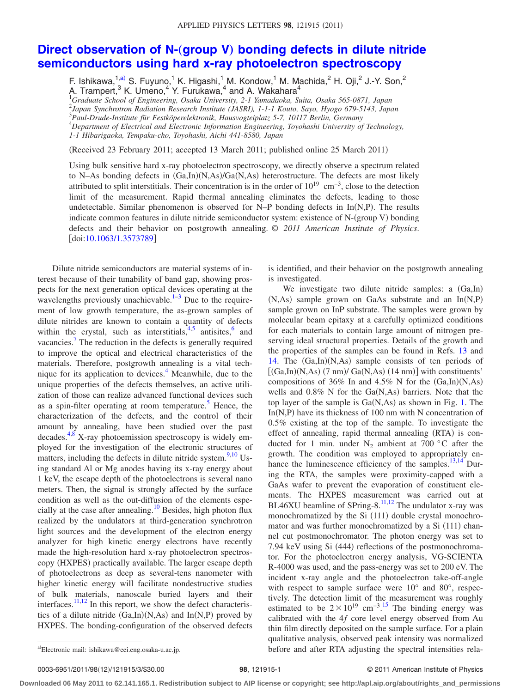## **Direct observation of N-(group V) [bonding defects in dilute nitride](http://dx.doi.org/10.1063/1.3573789) [semiconductors using hard x-ray photoelectron spectroscopy](http://dx.doi.org/10.1063/1.3573789)**

F. Ishikawa, $\frac{1}{2}$ , S. Fuyuno, K. Higashi, M. Kondow, M. Machida, H. Oji, U.-Y. Son,  $^2$ A. Trampert,<sup>3</sup> K. Umeno,<sup>4</sup> Y. Furukawa,<sup>4</sup> and A. Wakahara<sup>4</sup><br><sup>1</sup>Graduate School of Engineering, Osaka University, 2-1 Yamadaoka, Suita, Osaka 565-0871, Japan

2 *Japan Synchrotron Radiation Research Institute (JASRI), 1-1-1 Kouto, Sayo, Hyogo 679-5143, Japan*

3 *Paul-Drude-Institute für Festköperelektronik, Hausvogteiplatz 5-7, 10117 Berlin, Germany*

4 *Department of Electrical and Electronic Information Engineering, Toyohashi University of Technology,*

*1-1 Hibarigaoka, Tempaku-cho, Toyohashi, Aichi 441-8580, Japan*

(Received 23 February 2011; accepted 13 March 2011; published online 25 March 2011)

Using bulk sensitive hard x-ray photoelectron spectroscopy, we directly observe a spectrum related to N-As bonding defects in  $(Ga, In)(N, As)/Ga(N, As)$  heterostructure. The defects are most likely attributed to split interstitials. Their concentration is in the order of  $10^{19} \text{ cm}^{-3}$ , close to the detection limit of the measurement. Rapid thermal annealing eliminates the defects, leading to those undetectable. Similar phenomenon is observed for N-P bonding defects in  $In(N,P)$ . The results indicate common features in dilute nitride semiconductor system: existence of N-(group V) bonding defects and their behavior on postgrowth annealing. © *2011 American Institute of Physics*. [doi[:10.1063/1.3573789](http://dx.doi.org/10.1063/1.3573789)]

Dilute nitride semiconductors are material systems of interest because of their tunability of band gap, showing prospects for the next generation optical devices operating at the wavelengths previously unachievable. $1-3$  $1-3$  Due to the requirement of low growth temperature, the as-grown samples of dilute nitrides are known to contain a quantity of defects within the crystal, such as interstitials, $4.5$  antisites, $6$  and vacancies.<sup>7</sup> The reduction in the defects is generally required to improve the optical and electrical characteristics of the materials. Therefore, postgrowth annealing is a vital technique for its application to devices. $<sup>4</sup>$  Meanwhile, due to the</sup> unique properties of the defects themselves, an active utilization of those can realize advanced functional devices such as a spin-filter operating at room temperature.<sup>5</sup> Hence, the characterization of the defects, and the control of their amount by annealing, have been studied over the past decades[.4](#page-2-2)[,8](#page-2-6) X-ray photoemission spectroscopy is widely employed for the investigation of the electronic structures of matters, including the defects in dilute nitride system. $9,10$  $9,10$  Using standard Al or Mg anodes having its x-ray energy about 1 keV, the escape depth of the photoelectrons is several nano meters. Then, the signal is strongly affected by the surface condition as well as the out-diffusion of the elements especially at the case after annealing.<sup>10</sup> Besides, high photon flux realized by the undulators at third-generation synchrotron light sources and the development of the electron energy analyzer for high kinetic energy electrons have recently made the high-resolution hard x-ray photoelectron spectroscopy (HXPES) practically available. The larger escape depth of photoelectrons as deep as several-tens nanometer with higher kinetic energy will facilitate nondestructive studies of bulk materials, nanoscale buried layers and their interfaces.<sup>11,[12](#page-2-10)</sup> In this report, we show the defect characteristics of a dilute nitride  $(Ga, In)(N, As)$  and  $In(N,P)$  proved by HXPES. The bonding-configuration of the observed defects

is identified, and their behavior on the postgrowth annealing is investigated.

We investigate two dilute nitride samples: a (Ga,In) (N,As) sample grown on GaAs substrate and an In(N,P) sample grown on InP substrate. The samples were grown by molecular beam epitaxy at a carefully optimized conditions for each materials to contain large amount of nitrogen preserving ideal structural properties. Details of the growth and the properties of the samples can be found in Refs. [13](#page-2-11) and [14.](#page-2-12) The (Ga,In)(N,As) sample consists of ten periods of  $[(Ga, In)(N, As) (7 nm)/ Ga(N, As) (14 nm)]$  with constituents' compositions of 36% In and 4.5% N for the  $(Ga, In)(N, As)$ wells and  $0.8\%$  N for the Ga(N,As) barriers. Note that the top layer of the sample is  $Ga(N,As)$  as shown in Fig. [1.](#page-1-0) The In(N,P) have its thickness of 100 nm with N concentration of 0.5% existing at the top of the sample. To investigate the effect of annealing, rapid thermal annealing (RTA) is conducted for 1 min. under  $N_2$  ambient at 700 °C after the growth. The condition was employed to appropriately enhance the luminescence efficiency of the samples. $13,14$  $13,14$  During the RTA, the samples were proximity-capped with a GaAs wafer to prevent the evaporation of constituent elements. The HXPES measurement was carried out at BL46XU beamline of SPring-8.<sup>11,[12](#page-2-10)</sup> The undulator x-ray was monochromatized by the Si (111) double crystal monochromator and was further monochromatized by a Si (111) channel cut postmonochromator. The photon energy was set to 7.94 keV using Si (444) reflections of the postmonochromator. For the photoelectron energy analysis, VG-SCIENTA R-4000 was used, and the pass-energy was set to 200 eV. The incident x-ray angle and the photoelectron take-off-angle with respect to sample surface were 10° and 80°, respectively. The detection limit of the measurement was roughly estimated to be  $2 \times 10^{19}$  cm<sup>-3.[15](#page-2-13)</sup> The binding energy was calibrated with the 4*f* core level energy observed from Au thin film directly deposited on the sample surface. For a plain qualitative analysis, observed peak intensity was normalized before and after RTA adjusting the spectral intensities rela-

## 98, 121915-1 **30.000 CENTER SERVICE OP STATE OF PHYSICS** © 2011 American Institute of Physics

**Downloaded 06 May 2011 to 62.141.165.1. Redistribution subject to AIP license or copyright; see http://apl.aip.org/about/rights\_and\_permissions**

<span id="page-0-0"></span>a)Electronic mail: ishikawa@eei.eng.osaka-u.ac.jp.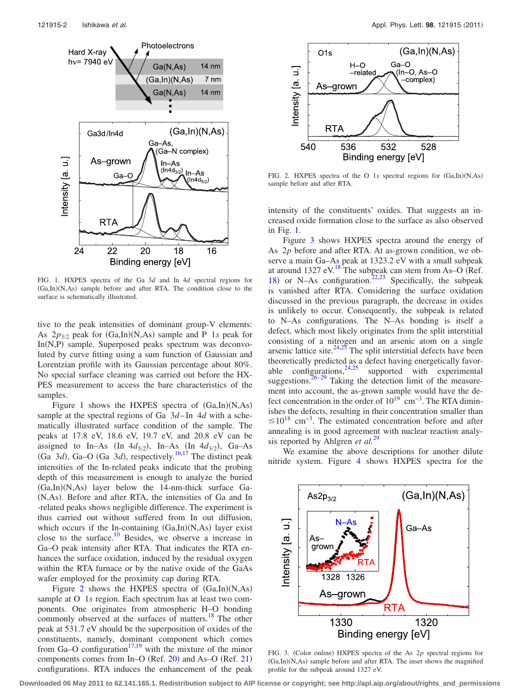<span id="page-1-0"></span>

FIG. 1. HXPES spectra of the Ga 3*d* and In 4*d* spectral regions for (Ga,In)(N,As) sample before and after RTA. The condition close to the surface is schematically illustrated.

tive to the peak intensities of dominant group-V elements: As  $2p_{3/2}$  peak for  $(Ga, In)(N, As)$  sample and P 1*s* peak for In(N,P) sample. Superposed peaks spectrum was deconvoluted by curve fitting using a sum function of Gaussian and Lorentzian profile with its Gaussian percentage about 80%. No special surface cleaning was carried out before the HX-PES measurement to access the bare characteristics of the samples.

Figure [1](#page-1-0) shows the HXPES spectra of  $(Ga, In)(N, As)$ sample at the spectral regions of Ga 3*d*–In 4*d* with a schematically illustrated surface condition of the sample. The peaks at 17.8 eV, 18.6 eV, 19.7 eV, and 20.8 eV can be assigned to In–As (In  $4d_{5/2}$ ), In–As (In  $4d_{3/2}$ ), Ga–As (Ga  $3d$ ), Ga–O (Ga  $3d$ ), respectively.<sup>16[,17](#page-2-15)</sup> The distinct peak intensities of the In-related peaks indicate that the probing depth of this measurement is enough to analyze the buried (Ga,In)(N,As) layer below the 14-nm-thick surface Ga-(N,As). Before and after RTA, the intensities of Ga and In -related peaks shows negligible difference. The experiment is thus carried out without suffered from In out diffusion, which occurs if the In-containing  $(Ga, In)(N, As)$  layer exist close to the surface.<sup>10</sup> Besides, we observe a increase in Ga–O peak intensity after RTA. That indicates the RTA enhances the surface oxidation, induced by the residual oxygen within the RTA furnace or by the native oxide of the GaAs wafer employed for the proximity cap during RTA.

Figure [2](#page-1-1) shows the HXPES spectra of  $(Ga, In)(N, As)$ sample at O 1*s* region. Each spectrum has at least two components. One originates from atmospheric H–O bonding commonly observed at the surfaces of matters.<sup>18</sup> The other peak at 531.7 eV should be the superposition of oxides of the constituents, namely, dominant component which comes from Ga–O configuration<sup>17[,19](#page-2-17)</sup> with the mixture of the minor components comes from In–O (Ref.  $20$ ) and As–O (Ref.  $21$ ) configurations. RTA induces the enhancement of the peak

<span id="page-1-1"></span>

FIG. 2. HXPES spectra of the O 1s spectral regions for  $(Ga, In)(N, As)$ sample before and after RTA.

intensity of the constituents' oxides. That suggests an increased oxide formation close to the surface as also observed in Fig. [1.](#page-1-0)

Figure [3](#page-1-2) shows HXPES spectra around the energy of As 2*p* before and after RTA. At as-grown condition, we observe a main Ga–As peak at 1323.2 eV with a small subpeak at around 1327 eV.<sup>18</sup> The subpeak can stem from As–O (Ref. [18](#page-2-16)) or N–As configuration.<sup>22,[23](#page-2-21)</sup> Specifically, the subpeak is vanished after RTA. Considering the surface oxidation discussed in the previous paragraph, the decrease in oxides is unlikely to occur. Consequently, the subpeak is related to N–As configurations. The N–As bonding is itself a defect, which most likely originates from the split interstitial consisting of a nitrogen and an arsenic atom on a single arsenic lattice site. $24.25$  The split interstitial defects have been theoretically predicted as a defect having energetically favorable configurations,  $24.25$  $24.25$  supported with experimental suggestions.  $26-29$  Taking the detection limit of the measurement into account, the as-grown sample would have the defect concentration in the order of  $10^{19}$  cm<sup>-3</sup>. The RTA diminishes the defects, resulting in their concentration smaller than  $\leq 10^{18}$  cm<sup>-3</sup>. The estimated concentration before and after annealing is in good agreement with nuclear reaction analysis reported by Ahlgren *et al.*[29](#page-2-25)

<span id="page-1-2"></span>We examine the above descriptions for another dilute nitride system. Figure [4](#page-2-26) shows HXPES spectra for the



FIG. 3. (Color online) HXPES spectra of the As 2p spectral regions for (Ga,In)(N,As) sample before and after RTA. The inset shows the magnified profile for the subpeak around 1327 eV.

**Downloaded 06 May 2011 to 62.141.165.1. Redistribution subject to AIP license or copyright; see http://apl.aip.org/about/rights\_and\_permissions**